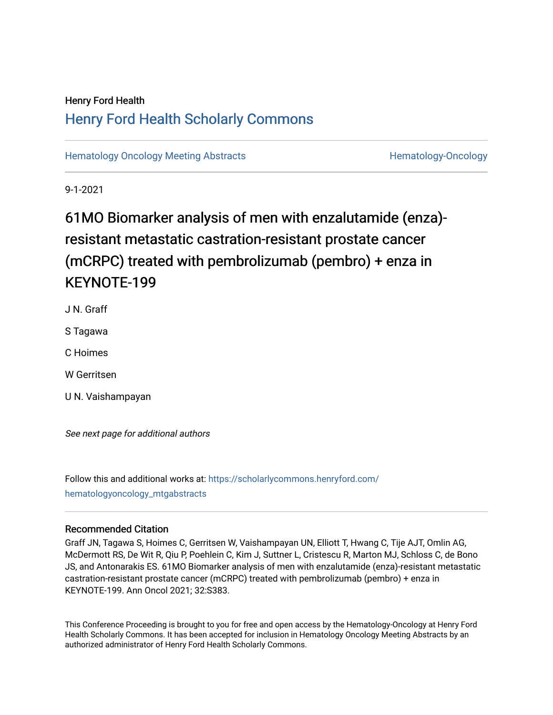## Henry Ford Health [Henry Ford Health Scholarly Commons](https://scholarlycommons.henryford.com/)

[Hematology Oncology Meeting Abstracts](https://scholarlycommons.henryford.com/hematologyoncology_mtgabstracts) **Hematology-Oncology-Oncology** 

9-1-2021

# 61MO Biomarker analysis of men with enzalutamide (enza) resistant metastatic castration-resistant prostate cancer (mCRPC) treated with pembrolizumab (pembro) + enza in KEYNOTE-199

J N. Graff

S Tagawa

C Hoimes

W Gerritsen

U N. Vaishampayan

See next page for additional authors

Follow this and additional works at: [https://scholarlycommons.henryford.com/](https://scholarlycommons.henryford.com/hematologyoncology_mtgabstracts?utm_source=scholarlycommons.henryford.com%2Fhematologyoncology_mtgabstracts%2F87&utm_medium=PDF&utm_campaign=PDFCoverPages) [hematologyoncology\\_mtgabstracts](https://scholarlycommons.henryford.com/hematologyoncology_mtgabstracts?utm_source=scholarlycommons.henryford.com%2Fhematologyoncology_mtgabstracts%2F87&utm_medium=PDF&utm_campaign=PDFCoverPages) 

## Recommended Citation

Graff JN, Tagawa S, Hoimes C, Gerritsen W, Vaishampayan UN, Elliott T, Hwang C, Tije AJT, Omlin AG, McDermott RS, De Wit R, Qiu P, Poehlein C, Kim J, Suttner L, Cristescu R, Marton MJ, Schloss C, de Bono JS, and Antonarakis ES. 61MO Biomarker analysis of men with enzalutamide (enza)-resistant metastatic castration-resistant prostate cancer (mCRPC) treated with pembrolizumab (pembro) + enza in KEYNOTE-199. Ann Oncol 2021; 32:S383.

This Conference Proceeding is brought to you for free and open access by the Hematology-Oncology at Henry Ford Health Scholarly Commons. It has been accepted for inclusion in Hematology Oncology Meeting Abstracts by an authorized administrator of Henry Ford Health Scholarly Commons.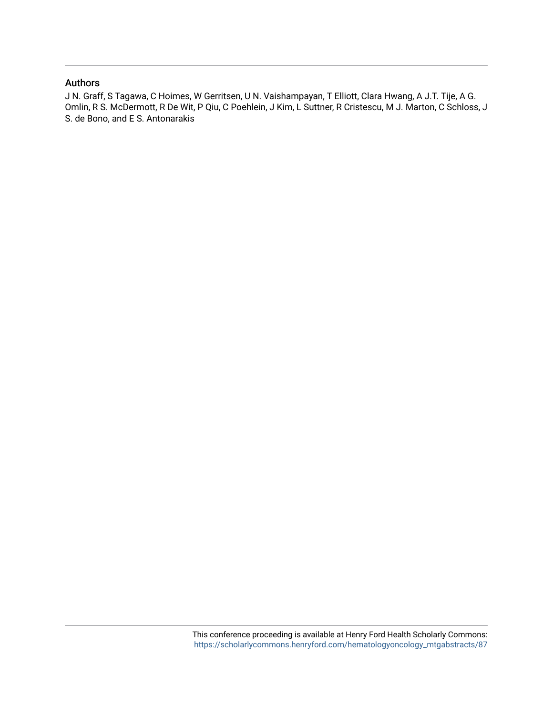### Authors

J N. Graff, S Tagawa, C Hoimes, W Gerritsen, U N. Vaishampayan, T Elliott, Clara Hwang, A J.T. Tije, A G. Omlin, R S. McDermott, R De Wit, P Qiu, C Poehlein, J Kim, L Suttner, R Cristescu, M J. Marton, C Schloss, J S. de Bono, and E S. Antonarakis